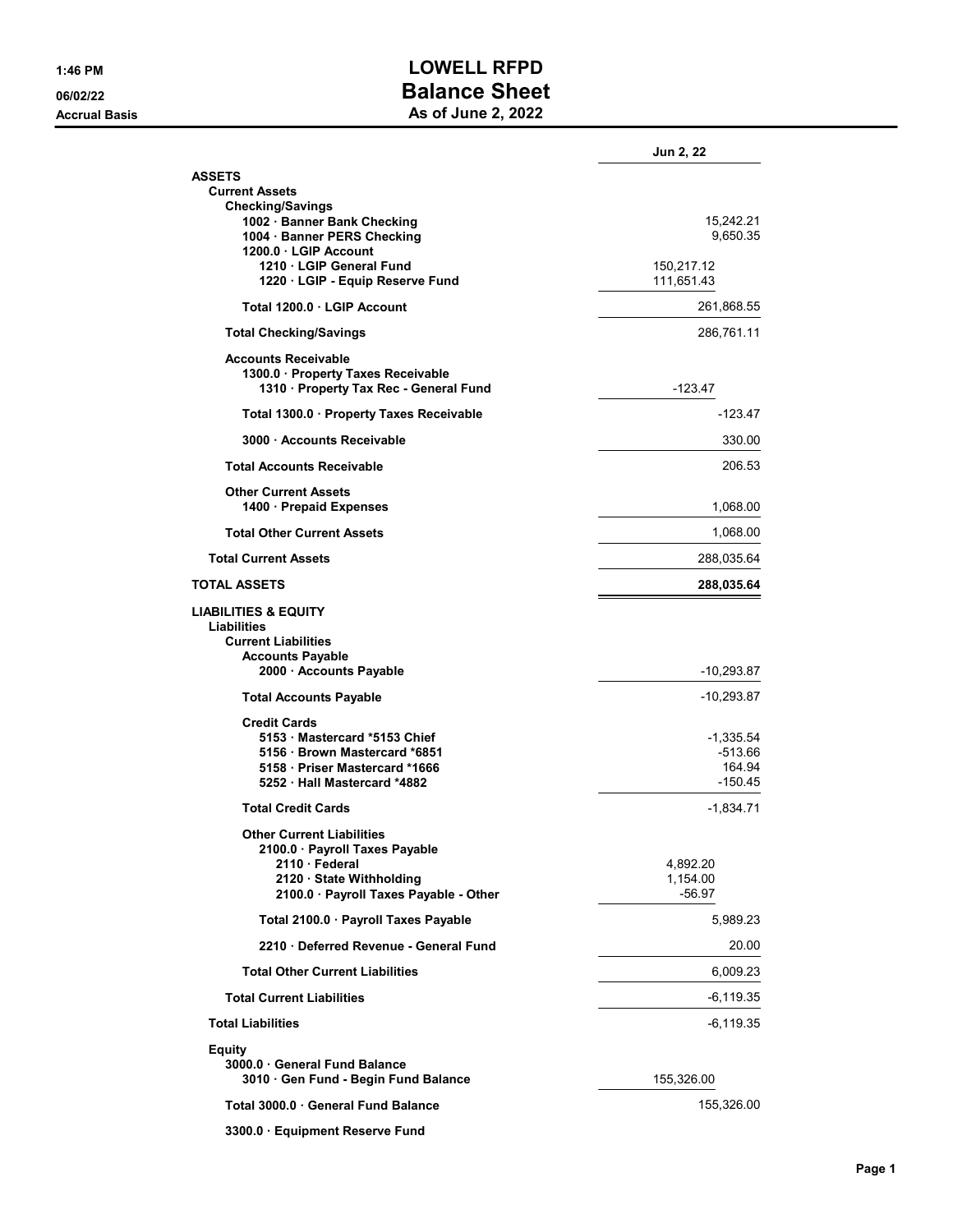## 1:46 PM LOWELL RFPD 06/02/22 Balance Sheet Accrual Basis **As of June 2, 2022**

|                                                                                                                                                          | Jun 2, 22                                 |
|----------------------------------------------------------------------------------------------------------------------------------------------------------|-------------------------------------------|
| ASSETS                                                                                                                                                   |                                           |
| <b>Current Assets</b><br><b>Checking/Savings</b>                                                                                                         |                                           |
| 1002 · Banner Bank Checking<br>1004 · Banner PERS Checking<br>1200.0 LGIP Account                                                                        | 15,242.21<br>9.650.35                     |
| 1210 LGIP General Fund<br>1220 · LGIP - Equip Reserve Fund                                                                                               | 150,217.12<br>111,651.43                  |
| Total 1200.0 LGIP Account                                                                                                                                | 261,868.55                                |
| <b>Total Checking/Savings</b>                                                                                                                            | 286,761.11                                |
| <b>Accounts Receivable</b><br>1300.0 · Property Taxes Receivable<br>1310 · Property Tax Rec - General Fund                                               | -123.47                                   |
| Total 1300.0 · Property Taxes Receivable                                                                                                                 | -123.47                                   |
| 3000 Accounts Receivable                                                                                                                                 | 330.00                                    |
| <b>Total Accounts Receivable</b>                                                                                                                         | 206.53                                    |
| <b>Other Current Assets</b><br>1400 · Prepaid Expenses                                                                                                   | 1,068.00                                  |
| <b>Total Other Current Assets</b>                                                                                                                        | 1,068.00                                  |
| <b>Total Current Assets</b>                                                                                                                              | 288,035.64                                |
| <b>TOTAL ASSETS</b>                                                                                                                                      | 288,035.64                                |
| <b>LIABILITIES &amp; EQUITY</b><br><b>Liabilities</b><br><b>Current Liabilities</b>                                                                      |                                           |
| <b>Accounts Payable</b><br>2000 · Accounts Payable                                                                                                       | -10,293.87                                |
| <b>Total Accounts Payable</b>                                                                                                                            | -10,293.87                                |
| <b>Credit Cards</b><br>5153 Mastercard *5153 Chief<br>5156 · Brown Mastercard *6851<br>5158 Priser Mastercard *1666<br>5252 Hall Mastercard *4882        | -1,335.54<br>-513.66<br>164.94<br>-150.45 |
| <b>Total Credit Cards</b>                                                                                                                                | -1,834.71                                 |
| <b>Other Current Liabilities</b><br>2100.0 · Payroll Taxes Payable<br>2110 · Federal<br>2120 State Withholding<br>2100.0 · Payroll Taxes Payable - Other | 4,892.20<br>1,154.00<br>$-56.97$          |
| Total 2100.0 · Payroll Taxes Payable                                                                                                                     | 5,989.23                                  |
| 2210 Deferred Revenue - General Fund                                                                                                                     | 20.00                                     |
| <b>Total Other Current Liabilities</b>                                                                                                                   | 6,009.23                                  |
| <b>Total Current Liabilities</b>                                                                                                                         | -6,119.35                                 |
| <b>Total Liabilities</b>                                                                                                                                 | $-6,119.35$                               |
| <b>Equity</b><br>3000.0 General Fund Balance<br>3010 Gen Fund - Begin Fund Balance                                                                       | 155,326.00                                |
| Total 3000.0 General Fund Balance                                                                                                                        | 155,326.00                                |
| 3300.0 · Equipment Reserve Fund                                                                                                                          |                                           |